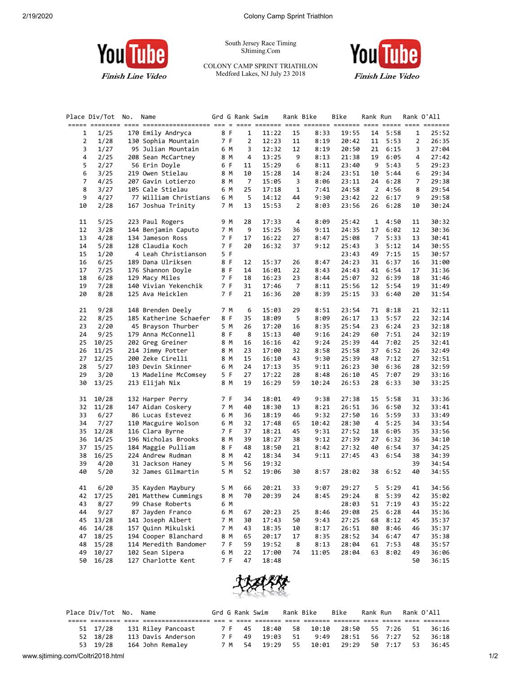

South Jersey Race Timing SJtiming.Com

## COLONY CAMP SPRINT TRIATHLON Medford Lakes, NJ July 23 2018



**Finish Line Video** 

|    | Place Div/Tot No. | Name                   |     | Grd G Rank Swim |       | Rank Bike |       | Bike  | Rank Run |      |    | Rank O'All |
|----|-------------------|------------------------|-----|-----------------|-------|-----------|-------|-------|----------|------|----|------------|
| 1  | 1/25              | 170 Emily Andryca      | 8 F | 1               | 11:22 | 15        | 8:33  | 19:55 | 14       | 5:58 | 1  | 25:52      |
| 2  | 1/28              | 130 Sophia Mountain    | 7 F | 2               | 12:23 | 11        | 8:19  | 20:42 | 11       | 5:53 | 2  | 26:35      |
| 3  | 1/27              | 95 Julian Mountain     | 6 M | 3               | 12:32 | 12        | 8:19  | 20:50 | 21       | 6:15 | 3  | 27:04      |
| 4  | 2/25              | 208 Sean McCartney     | 8 M | 4               | 13:25 | 9         | 8:13  | 21:38 | 19       | 6:05 | 4  | 27:42      |
| 5  | 2/27              | 56 Erin Doyle          | 6 F | 11              | 15:29 | 6         | 8:11  | 23:40 | 9        | 5:43 | 5  | 29:23      |
| 6  | 3/25              | 219 Owen Stielau       | 8 M | 10              | 15:28 | 14        | 8:24  | 23:51 | 10       | 5:44 | 6  | 29:34      |
| 7  | 4/25              | 207 Gavin Lotierzo     | 8 M | 7               | 15:05 | 3         | 8:06  | 23:11 | 24       | 6:28 | 7  | 29:38      |
| 8  | 3/27              | 105 Cale Stielau       | 6 M | 25              | 17:18 | 1         | 7:41  | 24:58 | 2        | 4:56 | 8  | 29:54      |
| 9  | 4/27              | 77 William Christians  | 6 M | 5               | 14:12 | 44        | 9:30  | 23:42 | 22       | 6:17 | 9  | 29:58      |
| 10 | 2/28              | 167 Joshua Trinity     | 7 M | 13              | 15:53 | 2         | 8:03  | 23:56 | 26       | 6:28 | 10 | 30:24      |
| 11 | 5/25              | 223 Paul Rogers        | 9 M | 28              | 17:33 | 4         | 8:09  | 25:42 | 1        | 4:50 | 11 | 30:32      |
| 12 | 3/28              | 144 Benjamin Caputo    | 7 M | 9               | 15:25 | 36        | 9:11  | 24:35 | 17       | 6:02 | 12 | 30:36      |
| 13 | 4/28              | 134 Jameson Ross       | 7 F | 17              | 16:22 | 27        | 8:47  | 25:08 | 7        | 5:33 | 13 | 30:41      |
| 14 | 5/28              | 128 Claudia Koch       | 7 F | 20              | 16:32 | 37        | 9:12  | 25:43 | 3        | 5:12 | 14 | 30:55      |
| 15 | 1/20              | 4 Leah Christianson    | 5 F |                 |       |           |       | 23:43 | 49       | 7:15 | 15 | 30:57      |
| 16 | 6/25              | 189 Dana Ulriksen      | 8 F | 12              | 15:37 | 26        | 8:47  | 24:23 | 31       | 6:37 | 16 | 31:00      |
| 17 | 7/25              | 176 Shannon Doyle      | 8 F | 14              | 16:01 | 22        | 8:43  | 24:43 | 41       | 6:54 | 17 | 31:36      |
| 18 | 6/28              | 129 Macy Miles         | 7 F | 18              | 16:23 | 23        | 8:44  | 25:07 | 32       | 6:39 | 18 | 31:46      |
| 19 | 7/28              | 140 Vivian Yekenchik   | 7 F | 31              | 17:46 | 7         | 8:11  | 25:56 | 12       | 5:54 | 19 | 31:49      |
| 20 | 8/28              | 125 Ava Heicklen       | 7 F | 21              | 16:36 | 20        | 8:39  | 25:15 | 33       | 6:40 | 20 | 31:54      |
| 21 | 9/28              | 148 Brenden Deely      | 7 M | 6               | 15:03 | 29        | 8:51  | 23:54 | 71       | 8:18 | 21 | 32:11      |
| 22 | 8/25              | 185 Katherine Schaefer | 8 F | 35              | 18:09 | 5         | 8:09  | 26:17 | 13       | 5:57 | 22 | 32:14      |
| 23 | 2/20              | 45 Brayson Thurber     | 5 M | 26              | 17:20 | 16        | 8:35  | 25:54 | 23       | 6:24 | 23 | 32:18      |
| 24 | 9/25              | 179 Anna McConnell     | 8 F | 8               | 15:13 | 40        | 9:16  | 24:29 | 60       | 7:51 | 24 | 32:19      |
| 25 | 10/25             | 202 Greg Greiner       | 8 M | 16              | 16:16 | 42        | 9:24  | 25:39 | 44       | 7:02 | 25 | 32:41      |
| 26 | 11/25             | 214 Jimmy Potter       | 8 M | 23              | 17:00 | 32        | 8:58  | 25:58 | 37       | 6:52 | 26 | 32:49      |
| 27 | 12/25             | 200 Zeke Cirelli       | 8 M | 15              | 16:10 | 43        | 9:30  | 25:39 | 48       | 7:12 | 27 | 32:51      |
| 28 | 5/27              | 103 Devin Skinner      | 6 M | 24              | 17:13 | 35        | 9:11  | 26:23 | 30       | 6:36 | 28 | 32:59      |
| 29 | 3/20              | 13 Madeline McComsey   | 5 F | 27              | 17:22 | 28        | 8:48  | 26:10 | 45       | 7:07 | 29 | 33:16      |
| 30 | 13/25             | 213 Elijah Nix         | 8 M | 19              | 16:29 | 59        | 10:24 | 26:53 | 28       | 6:33 | 30 | 33:25      |
| 31 | 10/28             | 132 Harper Perry       | 7 F | 34              | 18:01 | 49        | 9:38  | 27:38 | 15       | 5:58 | 31 | 33:36      |
| 32 | 11/28             | 147 Aidan Coskery      | 7 M | 40              | 18:30 | 13        | 8:21  | 26:51 | 36       | 6:50 | 32 | 33:41      |
| 33 | 6/27              | 86 Lucas Estevez       | 6 M | 36              | 18:19 | 46        | 9:32  | 27:50 | 16       | 5:59 | 33 | 33:49      |
| 34 | 7/27              | 110 Macguire Wolson    | 6 M | 32              | 17:48 | 65        | 10:42 | 28:30 | 4        | 5:25 | 34 | 33:54      |
| 35 | 12/28             | 116 Clara Byrne        | 7 F | 37              | 18:21 | 45        | 9:31  | 27:52 | 18       | 6:05 | 35 | 33:56      |
| 36 | 14/25             | 196 Nicholas Brooks    | 8 M | 39              | 18:27 | 38        | 9:12  | 27:39 | 27       | 6:32 | 36 | 34:10      |
| 37 | 15/25             | 184 Maggie Pulliam     | 8 F | 48              | 18:50 | 21        | 8:42  | 27:32 | 40       | 6:54 | 37 | 34:25      |
| 38 | 16/25             | 224 Andrew Rudman      | 8 M | 42              | 18:34 | 34        | 9:11  | 27:45 | 43       | 6:54 | 38 | 34:39      |
| 39 | 4/20              | 31 Jackson Haney       | 5 M | 56              | 19:32 |           |       |       |          |      | 39 | 34:54      |
| 40 | 5/20              | 32 James Gilmartin     | 5 M | 52              | 19:06 | 30        | 8:57  | 28:02 | 38       | 6:52 | 40 | 34:55      |
| 41 | 6/20              | 35 Kayden Maybury      | 5 M | 66              | 20:21 | 33        | 9:07  | 29:27 | 5        | 5:29 | 41 | 34:56      |
| 42 | 17/25             | 201 Matthew Cummings   | 8 M | 70              | 20:39 | 24        | 8:45  | 29:24 | 8        | 5:39 | 42 | 35:02      |
| 43 | 8/27              | 99 Chase Roberts       | 6 M |                 |       |           |       | 28:03 | 51       | 7:19 | 43 | 35:22      |
| 44 | 9/27              | 87 Jayden Franco       | 6 M | 67              | 20:23 | 25        | 8:46  | 29:08 | 25       | 6:28 | 44 | 35:36      |
| 45 | 13/28             | 141 Joseph Albert      | 7 M | 30              | 17:43 | 50        | 9:43  | 27:25 | 68       | 8:12 | 45 | 35:37      |
| 46 | 14/28             | 157 Quinn Mikulski     | 7 M | 43              | 18:35 | 10        | 8:17  | 26:51 | 80       | 8:46 | 46 | 35:37      |
| 47 | 18/25             | 194 Cooper Blanchard   | 8 M | 65              | 20:17 | 17        | 8:35  | 28:52 | 34       | 6:47 | 47 | 35:38      |
| 48 | 15/28             | 114 Meredith Bandomer  | 7 F | 59              | 19:52 | 8         | 8:13  | 28:04 | 61       | 7:53 | 48 | 35:57      |
| 49 | 10/27             | 102 Sean Sipera        | 6 M | 22              | 17:00 | 74        | 11:05 | 28:04 | 63       | 8:02 | 49 | 36:06      |
| 50 | 16/28             | 127 Charlotte Kent     | 7 F | 47              | 18:48 |           |       |       |          |      | 50 | 36:15      |



|  | Place Div/Tot No. Name |                             |  |        | Grd G Rank Swim                              | Rank Bike | Bike          | Rank Run |         | Rank O'All |
|--|------------------------|-----------------------------|--|--------|----------------------------------------------|-----------|---------------|----------|---------|------------|
|  |                        |                             |  |        |                                              |           |               |          |         |            |
|  |                        | 51 17/28 131 Riley Pancoast |  |        | 7 F 45 18:40 58 10:10 28:50 55 7:26 51 36:16 |           |               |          |         |            |
|  | 52 18/28               | 113 Davis Anderson          |  | 7 F 49 | 19:03 51                                     | 9:49      | 28:51 56 7:27 |          |         | 52 36:18   |
|  | 53 19/28               | 164 John Remaley            |  |        | 7 M 54 19:29 55 10:01 29:29                  |           |               |          | 50 7:17 | 53 36:45   |